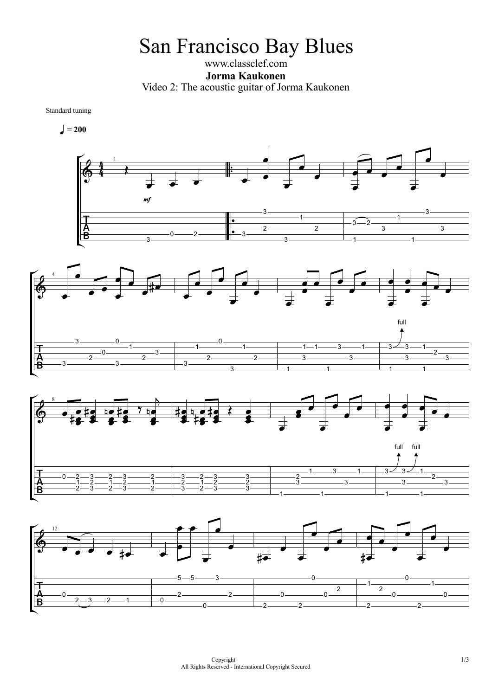## San Francisco Bay Blues

www.classclef.com **Jorma Kaukonen** Video 2: The acoustic guitar of Jorma Kaukonen

Standard tuning

 $\bullet$  = 200







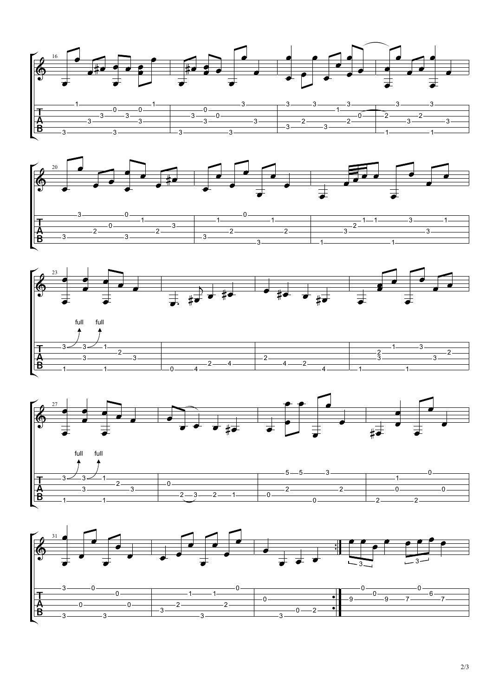